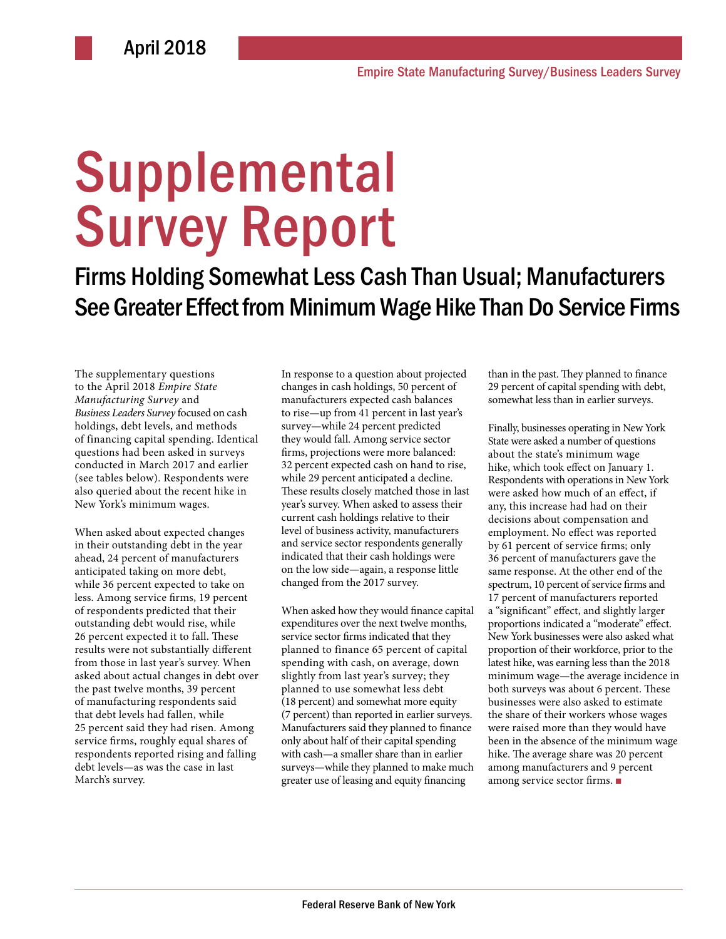# **Supplemental** Survey Report

Firms Holding Somewhat Less Cash Than Usual; Manufacturers See Greater Effect from Minimum Wage Hike Than Do Service Firms

The supplementary questions to the April 2018 *Empire State Manufacturing Survey* and *Business Leaders Survey* focused on cash holdings, debt levels, and methods of financing capital spending. Identical questions had been asked in surveys conducted in March 2017 and earlier (see tables below). Respondents were also queried about the recent hike in New York's minimum wages.

When asked about expected changes in their outstanding debt in the year ahead, 24 percent of manufacturers anticipated taking on more debt, while 36 percent expected to take on less. Among service firms, 19 percent of respondents predicted that their outstanding debt would rise, while 26 percent expected it to fall. These results were not substantially different from those in last year's survey. When asked about actual changes in debt over the past twelve months, 39 percent of manufacturing respondents said that debt levels had fallen, while 25 percent said they had risen. Among service firms, roughly equal shares of respondents reported rising and falling debt levels—as was the case in last March's survey.

In response to a question about projected changes in cash holdings, 50 percent of manufacturers expected cash balances to rise—up from 41 percent in last year's survey—while 24 percent predicted they would fall. Among service sector firms, projections were more balanced: 32 percent expected cash on hand to rise, while 29 percent anticipated a decline. These results closely matched those in last year's survey. When asked to assess their current cash holdings relative to their level of business activity, manufacturers and service sector respondents generally indicated that their cash holdings were on the low side—again, a response little changed from the 2017 survey.

When asked how they would finance capital expenditures over the next twelve months, service sector firms indicated that they planned to finance 65 percent of capital spending with cash, on average, down slightly from last year's survey; they planned to use somewhat less debt (18 percent) and somewhat more equity (7 percent) than reported in earlier surveys. Manufacturers said they planned to finance only about half of their capital spending with cash—a smaller share than in earlier surveys—while they planned to make much greater use of leasing and equity financing

than in the past. They planned to finance 29 percent of capital spending with debt, somewhat less than in earlier surveys.

Finally, businesses operating in New York State were asked a number of questions about the state's minimum wage hike, which took effect on January 1. Respondents with operations in New York were asked how much of an effect, if any, this increase had had on their decisions about compensation and employment. No effect was reported by 61 percent of service firms; only 36 percent of manufacturers gave the same response. At the other end of the spectrum, 10 percent of service firms and 17 percent of manufacturers reported a "significant" effect, and slightly larger proportions indicated a "moderate" effect. New York businesses were also asked what proportion of their workforce, prior to the latest hike, was earning less than the 2018 minimum wage—the average incidence in both surveys was about 6 percent. These businesses were also asked to estimate the share of their workers whose wages were raised more than they would have been in the absence of the minimum wage hike. The average share was 20 percent among manufacturers and 9 percent among service sector firms. ■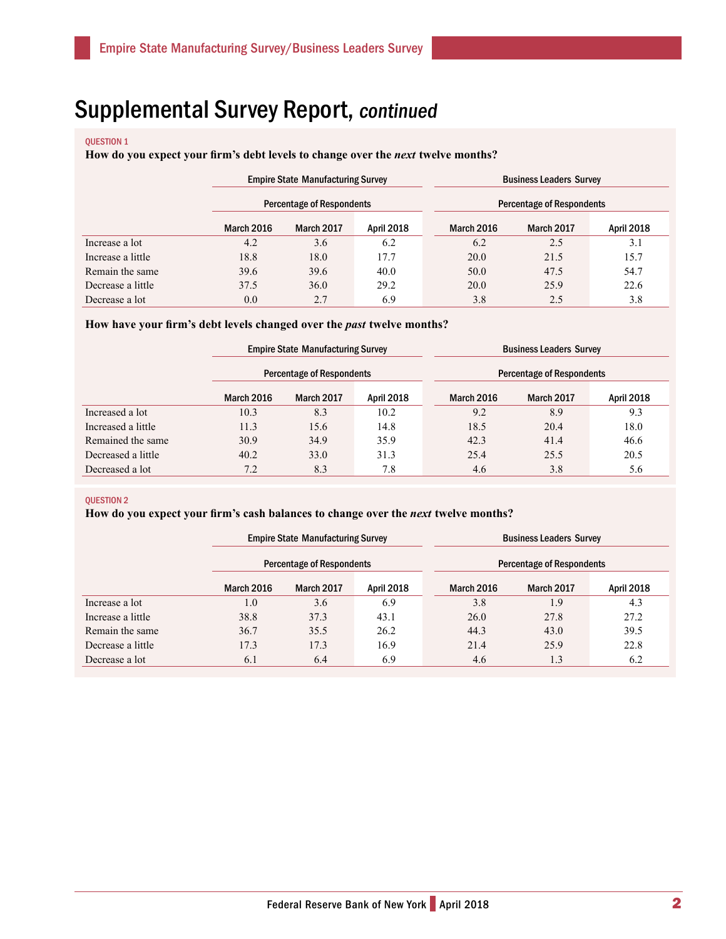#### QUESTION 1

**How do you expect your firm's debt levels to change over the** *next* **twelve months?** 

|                   |            | <b>Empire State Manufacturing Survey</b> |                   |            | <b>Business Leaders Survey</b>   |            |  |  |
|-------------------|------------|------------------------------------------|-------------------|------------|----------------------------------|------------|--|--|
|                   |            | <b>Percentage of Respondents</b>         |                   |            | <b>Percentage of Respondents</b> |            |  |  |
|                   | March 2016 | <b>March 2017</b>                        | <b>April 2018</b> | March 2016 | March 2017                       | April 2018 |  |  |
| Increase a lot    | 4.2        | 3.6                                      | 6.2               | 6.2        | 2.5                              | 3.1        |  |  |
| Increase a little | 18.8       | 18.0                                     | 17.7              | 20.0       | 21.5                             | 15.7       |  |  |
| Remain the same   | 39.6       | 39.6                                     | 40.0              | 50.0       | 47.5                             | 54.7       |  |  |
| Decrease a little | 37.5       | 36.0                                     | 29.2              | 20.0       | 25.9                             | 22.6       |  |  |
| Decrease a lot    | 0.0        | 2.7                                      | 6.9               | 3.8        | 2.5                              | 3.8        |  |  |

### **How have your firm's debt levels changed over the** *past* **twelve months?**

|                    |            | <b>Empire State Manufacturing Survey</b> |                   |  | <b>Business Leaders Survey</b>   |            |            |  |
|--------------------|------------|------------------------------------------|-------------------|--|----------------------------------|------------|------------|--|
|                    |            | <b>Percentage of Respondents</b>         |                   |  | <b>Percentage of Respondents</b> |            |            |  |
|                    | March 2016 | March 2017                               | <b>April 2018</b> |  | March 2016                       | March 2017 | April 2018 |  |
| Increased a lot    | 10.3       | 8.3                                      | 10.2              |  | 9.2                              | 8.9        | 9.3        |  |
| Increased a little | 11.3       | 15.6                                     | 14.8              |  | 18.5                             | 20.4       | 18.0       |  |
| Remained the same  | 30.9       | 34.9                                     | 35.9              |  | 42.3                             | 41.4       | 46.6       |  |
| Decreased a little | 40.2       | 33.0                                     | 31.3              |  | 25.4                             | 25.5       | 20.5       |  |
| Decreased a lot    | 7.2        | 8.3                                      | 7.8               |  | 4.6                              | 3.8        | 5.6        |  |

#### QUESTION 2

### **How do you expect your firm's cash balances to change over the** *next* **twelve months?**

|                   | <b>Empire State Manufacturing Survey</b> |                   |                   | <b>Business Leaders Survey</b> |            |                   |  |
|-------------------|------------------------------------------|-------------------|-------------------|--------------------------------|------------|-------------------|--|
|                   | Percentage of Respondents                |                   |                   | Percentage of Respondents      |            |                   |  |
|                   | March 2016                               | <b>March 2017</b> | <b>April 2018</b> | March 2016                     | March 2017 | <b>April 2018</b> |  |
| Increase a lot    | 1.0                                      | 3.6               | 6.9               | 3.8                            | 1.9        | 4.3               |  |
| Increase a little | 38.8                                     | 37.3              | 43.1              | 26.0                           | 27.8       | 27.2              |  |
| Remain the same   | 36.7                                     | 35.5              | 26.2              | 44.3                           | 43.0       | 39.5              |  |
| Decrease a little | 17.3                                     | 17.3              | 16.9              | 21.4                           | 25.9       | 22.8              |  |
| Decrease a lot    | 6.1                                      | 6.4               | 6.9               | 4.6                            | 1.3        | 6.2               |  |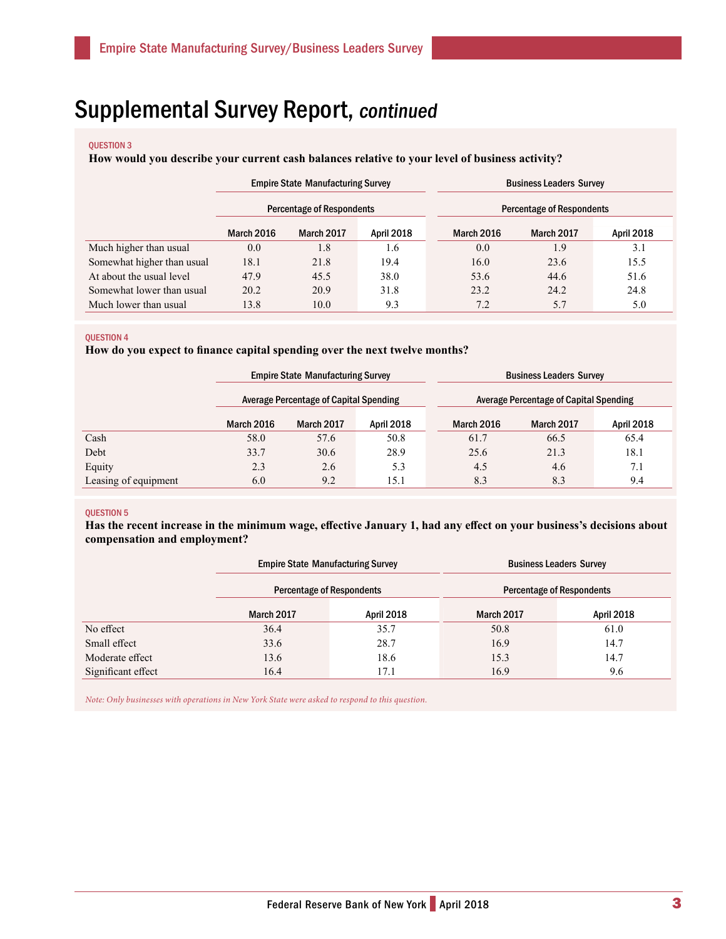### QUESTION 3

### **How would you describe your current cash balances relative to your level of business activity?**

|                            | <b>Empire State Manufacturing Survey</b> |            |                   | <b>Business Leaders Survey</b>   |            |                   |  |
|----------------------------|------------------------------------------|------------|-------------------|----------------------------------|------------|-------------------|--|
|                            | <b>Percentage of Respondents</b>         |            |                   | <b>Percentage of Respondents</b> |            |                   |  |
|                            | <b>March 2016</b>                        | March 2017 | <b>April 2018</b> | <b>March 2016</b>                | March 2017 | <b>April 2018</b> |  |
| Much higher than usual     | 0.0                                      | 1.8        | 1.6               | 0.0                              | 1.9        | 3.1               |  |
| Somewhat higher than usual | 18.1                                     | 21.8       | 19.4              | 16.0                             | 23.6       | 15.5              |  |
| At about the usual level   | 47.9                                     | 45.5       | 38.0              | 53.6                             | 44.6       | 51.6              |  |
| Somewhat lower than usual  | 20.2                                     | 20.9       | 31.8              | 23.2                             | 24.2       | 24.8              |  |
| Much lower than usual      | 13.8                                     | 10.0       | 9.3               | 7.2                              | 5.7        | 5.0               |  |

#### QUESTION 4

**How do you expect to finance capital spending over the next twelve months?**

|                      | <b>Empire State Manufacturing Survey</b>      |                   |            |            | <b>Business Leaders Survey</b>                |                   |  |  |
|----------------------|-----------------------------------------------|-------------------|------------|------------|-----------------------------------------------|-------------------|--|--|
|                      | <b>Average Percentage of Capital Spending</b> |                   |            |            | <b>Average Percentage of Capital Spending</b> |                   |  |  |
|                      | <b>March 2016</b>                             | <b>March 2017</b> | April 2018 | March 2016 | <b>March 2017</b>                             | <b>April 2018</b> |  |  |
| Cash                 | 58.0                                          | 57.6              | 50.8       | 61.7       | 66.5                                          | 65.4              |  |  |
| Debt                 | 33.7                                          | 30.6              | 28.9       | 25.6       | 21.3                                          | 18.1              |  |  |
| Equity               | 2.3                                           | 2.6               | 5.3        | 4.5        | 4.6                                           | 7.1               |  |  |
| Leasing of equipment | 6.0                                           | 9.2               | 15.1       | 8.3        | 8.3                                           | 9.4               |  |  |

### QUESTION 5

**Has the recent increase in the minimum wage, effective January 1, had any effect on your business's decisions about compensation and employment?**

|                    | <b>Empire State Manufacturing Survey</b> |      | <b>Business Leaders Survey</b>   |            |  |
|--------------------|------------------------------------------|------|----------------------------------|------------|--|
|                    | <b>Percentage of Respondents</b>         |      | <b>Percentage of Respondents</b> |            |  |
|                    | <b>March 2017</b><br>April 2018          |      | <b>March 2017</b>                | April 2018 |  |
| No effect          | 36.4                                     | 35.7 | 50.8                             | 61.0       |  |
| Small effect       | 33.6                                     | 28.7 | 16.9                             | 14.7       |  |
| Moderate effect    | 13.6                                     | 18.6 | 15.3                             | 14.7       |  |
| Significant effect | 16.4                                     | 17.1 | 16.9                             | 9.6        |  |

*Note: Only businesses with operations in New York State were asked to respond to this question.*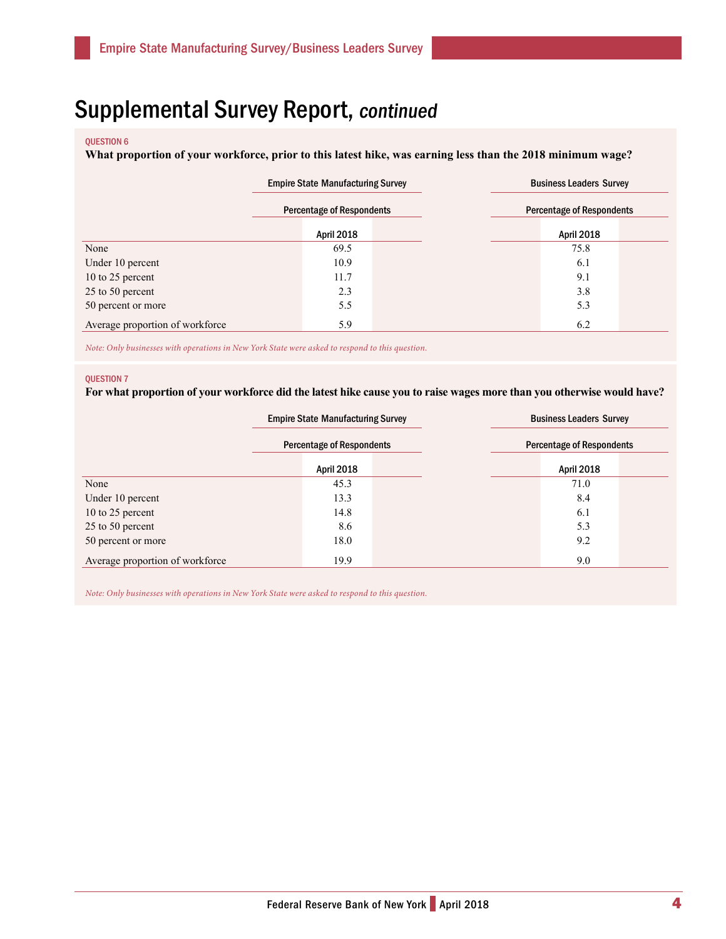#### QUESTION 6

**What proportion of your workforce, prior to this latest hike, was earning less than the 2018 minimum wage?**

|                                 | <b>Empire State Manufacturing Survey</b> | <b>Business Leaders Survey</b>   |  |  |
|---------------------------------|------------------------------------------|----------------------------------|--|--|
|                                 | <b>Percentage of Respondents</b>         | <b>Percentage of Respondents</b> |  |  |
|                                 | April 2018                               | April 2018                       |  |  |
| None                            | 69.5                                     | 75.8                             |  |  |
| Under 10 percent                | 10.9                                     | 6.1                              |  |  |
| 10 to 25 percent                | 11.7                                     | 9.1                              |  |  |
| 25 to 50 percent                | 2.3                                      | 3.8                              |  |  |
| 50 percent or more              | 5.5                                      | 5.3                              |  |  |
| Average proportion of workforce | 5.9                                      | 6.2                              |  |  |

*Note: Only businesses with operations in New York State were asked to respond to this question.*

#### QUESTION 7

**For what proportion of your workforce did the latest hike cause you to raise wages more than you otherwise would have?**

|                                 | <b>Empire State Manufacturing Survey</b> | <b>Business Leaders Survey</b>   |  |  |
|---------------------------------|------------------------------------------|----------------------------------|--|--|
|                                 | <b>Percentage of Respondents</b>         | <b>Percentage of Respondents</b> |  |  |
|                                 | April 2018                               | <b>April 2018</b>                |  |  |
| None                            | 45.3                                     | 71.0                             |  |  |
| Under 10 percent                | 13.3                                     | 8.4                              |  |  |
| 10 to 25 percent                | 14.8                                     | 6.1                              |  |  |
| 25 to 50 percent                | 8.6                                      | 5.3                              |  |  |
| 50 percent or more              | 18.0                                     | 9.2                              |  |  |
| Average proportion of workforce | 19.9                                     | 9.0                              |  |  |

*Note: Only businesses with operations in New York State were asked to respond to this question.*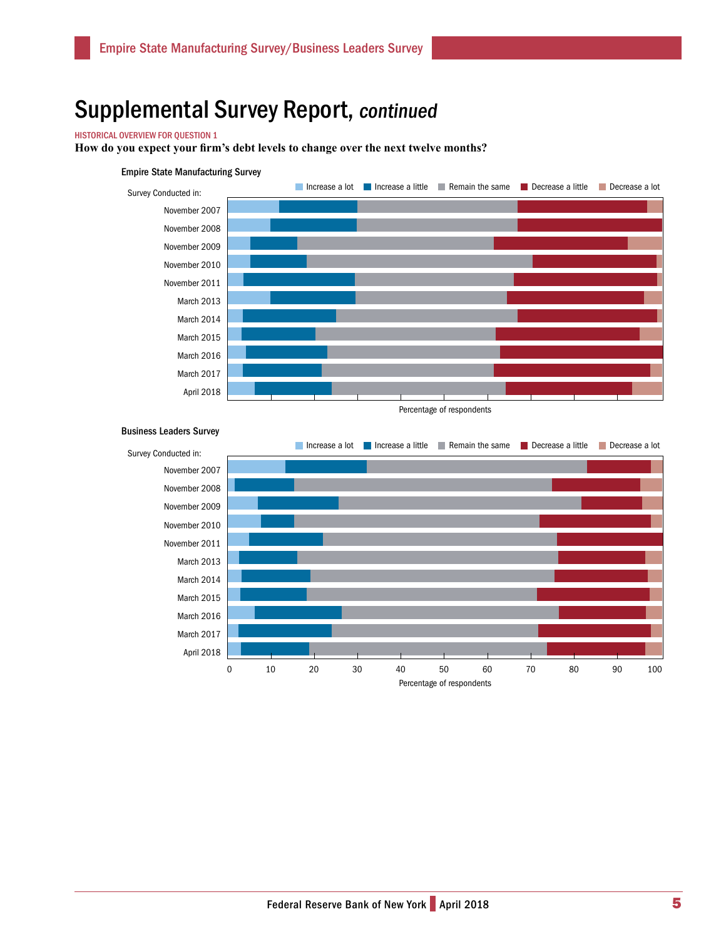### HISTORICAL OVERVIEW FOR QUESTION 1

**How do you expect your firm's debt levels to change over the next twelve months?** 



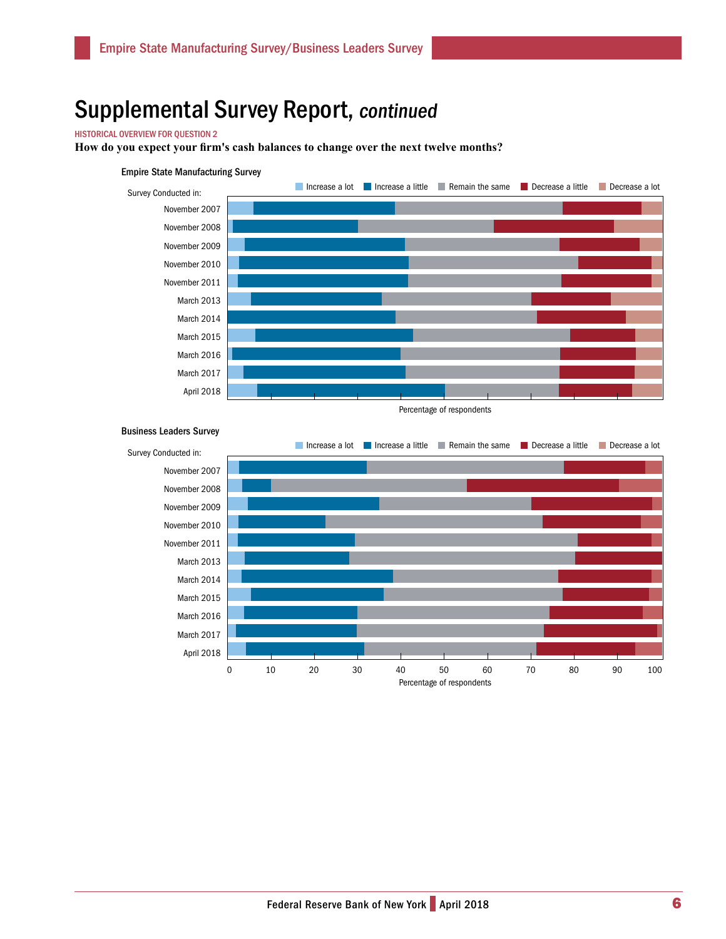### HISTORICAL OVERVIEW FOR QUESTION 2

**How do you expect your firm's cash balances to change over the next twelve months?**